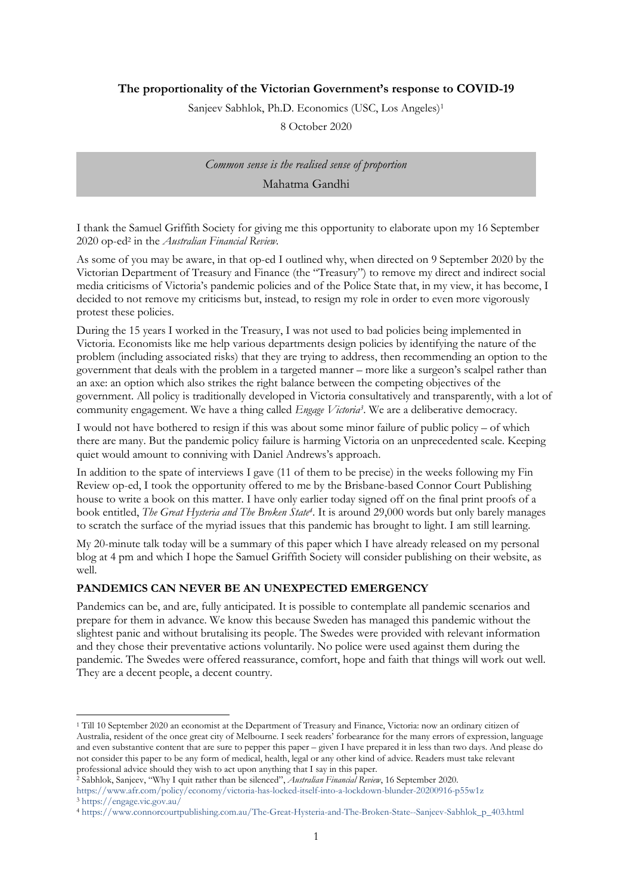## **The proportionality of the Victorian Government's response to COVID-19**

Sanjeev Sabhlok, Ph.D. Economics (USC, Los Angeles)<sup>1</sup>

8 October 2020

*Common sense is the realised sense of proportion* Mahatma Gandhi

I thank the Samuel Griffith Society for giving me this opportunity to elaborate upon my 16 September 2020 op-ed<sup>2</sup> in the *Australian Financial Review.*

As some of you may be aware, in that op-ed I outlined why, when directed on 9 September 2020 by the Victorian Department of Treasury and Finance (the "Treasury") to remove my direct and indirect social media criticisms of Victoria's pandemic policies and of the Police State that, in my view, it has become, I decided to not remove my criticisms but, instead, to resign my role in order to even more vigorously protest these policies.

During the 15 years I worked in the Treasury, I was not used to bad policies being implemented in Victoria. Economists like me help various departments design policies by identifying the nature of the problem (including associated risks) that they are trying to address, then recommending an option to the government that deals with the problem in a targeted manner – more like a surgeon's scalpel rather than an axe: an option which also strikes the right balance between the competing objectives of the government. All policy is traditionally developed in Victoria consultatively and transparently, with a lot of community engagement. We have a thing called *Engage Victoria<sup>3</sup>* . We are a deliberative democracy.

I would not have bothered to resign if this was about some minor failure of public policy – of which there are many. But the pandemic policy failure is harming Victoria on an unprecedented scale. Keeping quiet would amount to conniving with Daniel Andrews's approach.

In addition to the spate of interviews I gave (11 of them to be precise) in the weeks following my Fin Review op-ed, I took the opportunity offered to me by the Brisbane-based Connor Court Publishing house to write a book on this matter. I have only earlier today signed off on the final print proofs of a book entitled, *The Great Hysteria and The Broken State<sup>4</sup>* . It is around 29,000 words but only barely manages to scratch the surface of the myriad issues that this pandemic has brought to light. I am still learning.

My 20-minute talk today will be a summary of this paper which I have already released on my personal blog at 4 pm and which I hope the Samuel Griffith Society will consider publishing on their website, as well.

#### **PANDEMICS CAN NEVER BE AN UNEXPECTED EMERGENCY**

Pandemics can be, and are, fully anticipated. It is possible to contemplate all pandemic scenarios and prepare for them in advance. We know this because Sweden has managed this pandemic without the slightest panic and without brutalising its people. The Swedes were provided with relevant information and they chose their preventative actions voluntarily. No police were used against them during the pandemic. The Swedes were offered reassurance, comfort, hope and faith that things will work out well. They are a decent people, a decent country.

<sup>1</sup> Till 10 September 2020 an economist at the Department of Treasury and Finance, Victoria: now an ordinary citizen of Australia, resident of the once great city of Melbourne. I seek readers' forbearance for the many errors of expression, language and even substantive content that are sure to pepper this paper – given I have prepared it in less than two days. And please do not consider this paper to be any form of medical, health, legal or any other kind of advice. Readers must take relevant professional advice should they wish to act upon anything that I say in this paper.

<sup>2</sup> Sabhlok, Sanjeev, "Why I quit rather than be silenced", *Australian Financial Review*, 16 September 2020. https://www.afr.com/policy/economy/victoria-has-locked-itself-into-a-lockdown-blunder-20200916-p55w1z <sup>3</sup> https://engage.vic.gov.au/

<sup>4</sup> https://www.connorcourtpublishing.com.au/The-Great-Hysteria-and-The-Broken-State--Sanjeev-Sabhlok\_p\_403.html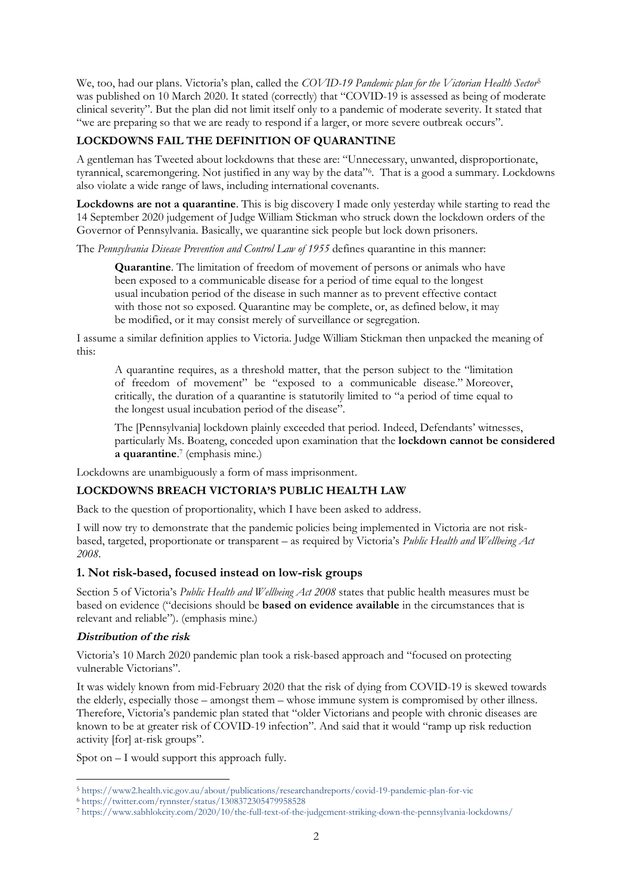We, too, had our plans. Victoria's plan, called the *COVID-19 Pandemic plan for the Victorian Health Sector*<sup>5</sup> was published on 10 March 2020. It stated (correctly) that "COVID-19 is assessed as being of moderate clinical severity". But the plan did not limit itself only to a pandemic of moderate severity. It stated that "we are preparing so that we are ready to respond if a larger, or more severe outbreak occurs".

# **LOCKDOWNS FAIL THE DEFINITION OF QUARANTINE**

A gentleman has Tweeted about lockdowns that these are: "Unnecessary, unwanted, disproportionate, tyrannical, scaremongering. Not justified in any way by the data"<sup>6</sup> . That is a good a summary. Lockdowns also violate a wide range of laws, including international covenants.

**Lockdowns are not a quarantine**. This is big discovery I made only yesterday while starting to read the 14 September 2020 judgement of Judge William Stickman who struck down the lockdown orders of the Governor of Pennsylvania. Basically, we quarantine sick people but lock down prisoners.

The *Pennsylvania Disease Prevention and Control Law of 1955* defines quarantine in this manner:

**Quarantine**. The limitation of freedom of movement of persons or animals who have been exposed to a communicable disease for a period of time equal to the longest usual incubation period of the disease in such manner as to prevent effective contact with those not so exposed. Quarantine may be complete, or, as defined below, it may be modified, or it may consist merely of surveillance or segregation.

I assume a similar definition applies to Victoria. Judge William Stickman then unpacked the meaning of this:

A quarantine requires, as a threshold matter, that the person subject to the "limitation of freedom of movement" be "exposed to a communicable disease." Moreover, critically, the duration of a quarantine is statutorily limited to "a period of time equal to the longest usual incubation period of the disease".

The [Pennsylvania] lockdown plainly exceeded that period. Indeed, Defendants' witnesses, particularly Ms. Boateng, conceded upon examination that the **lockdown cannot be considered a quarantine**. 7 (emphasis mine.)

Lockdowns are unambiguously a form of mass imprisonment.

# **LOCKDOWNS BREACH VICTORIA'S PUBLIC HEALTH LAW**

Back to the question of proportionality, which I have been asked to address.

I will now try to demonstrate that the pandemic policies being implemented in Victoria are not riskbased, targeted, proportionate or transparent – as required by Victoria's *Public Health and Wellbeing Act 2008*.

# **1. Not risk-based, focused instead on low-risk groups**

Section 5 of Victoria's *Public Health and Wellbeing Act 2008* states that public health measures must be based on evidence ("decisions should be **based on evidence available** in the circumstances that is relevant and reliable"). (emphasis mine.)

#### **Distribution of the risk**

Victoria's 10 March 2020 pandemic plan took a risk-based approach and "focused on protecting vulnerable Victorians".

It was widely known from mid-February 2020 that the risk of dying from COVID-19 is skewed towards the elderly, especially those – amongst them – whose immune system is compromised by other illness. Therefore, Victoria's pandemic plan stated that "older Victorians and people with chronic diseases are known to be at greater risk of COVID-19 infection". And said that it would "ramp up risk reduction activity [for] at-risk groups".

Spot on – I would support this approach fully.

<sup>5</sup> https://www2.health.vic.gov.au/about/publications/researchandreports/covid-19-pandemic-plan-for-vic

<sup>6</sup> https://twitter.com/rynnster/status/1308372305479958528

<sup>7</sup> https://www.sabhlokcity.com/2020/10/the-full-text-of-the-judgement-striking-down-the-pennsylvania-lockdowns/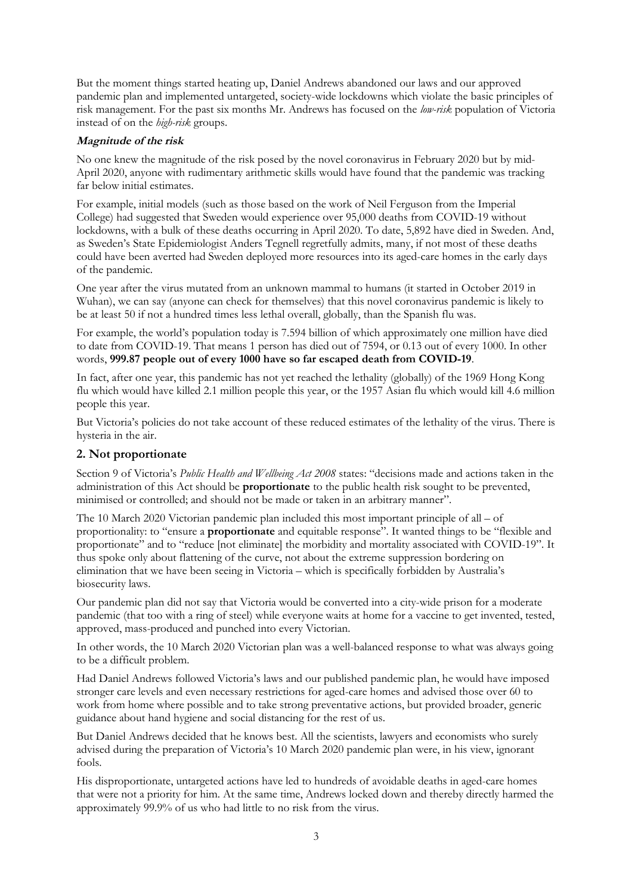But the moment things started heating up, Daniel Andrews abandoned our laws and our approved pandemic plan and implemented untargeted, society-wide lockdowns which violate the basic principles of risk management. For the past six months Mr. Andrews has focused on the *low-risk* population of Victoria instead of on the *high-risk* groups.

## **Magnitude of the risk**

No one knew the magnitude of the risk posed by the novel coronavirus in February 2020 but by mid-April 2020, anyone with rudimentary arithmetic skills would have found that the pandemic was tracking far below initial estimates.

For example, initial models (such as those based on the work of Neil Ferguson from the Imperial College) had suggested that Sweden would experience over 95,000 deaths from COVID-19 without lockdowns, with a bulk of these deaths occurring in April 2020. To date, 5,892 have died in Sweden. And, as Sweden's State Epidemiologist Anders Tegnell regretfully admits, many, if not most of these deaths could have been averted had Sweden deployed more resources into its aged-care homes in the early days of the pandemic.

One year after the virus mutated from an unknown mammal to humans (it started in October 2019 in Wuhan), we can say (anyone can check for themselves) that this novel coronavirus pandemic is likely to be at least 50 if not a hundred times less lethal overall, globally, than the Spanish flu was.

For example, the world's population today is 7.594 billion of which approximately one million have died to date from COVID-19. That means 1 person has died out of 7594, or 0.13 out of every 1000. In other words, **999.87 people out of every 1000 have so far escaped death from COVID-19**.

In fact, after one year, this pandemic has not yet reached the lethality (globally) of the 1969 Hong Kong flu which would have killed 2.1 million people this year, or the 1957 Asian flu which would kill 4.6 million people this year.

But Victoria's policies do not take account of these reduced estimates of the lethality of the virus. There is hysteria in the air.

# **2. Not proportionate**

Section 9 of Victoria's *Public Health and Wellbeing Act 2008* states: "decisions made and actions taken in the administration of this Act should be **proportionate** to the public health risk sought to be prevented, minimised or controlled; and should not be made or taken in an arbitrary manner".

The 10 March 2020 Victorian pandemic plan included this most important principle of all – of proportionality: to "ensure a **proportionate** and equitable response". It wanted things to be "flexible and proportionate" and to "reduce [not eliminate] the morbidity and mortality associated with COVID-19". It thus spoke only about flattening of the curve, not about the extreme suppression bordering on elimination that we have been seeing in Victoria – which is specifically forbidden by Australia's biosecurity laws.

Our pandemic plan did not say that Victoria would be converted into a city-wide prison for a moderate pandemic (that too with a ring of steel) while everyone waits at home for a vaccine to get invented, tested, approved, mass-produced and punched into every Victorian.

In other words, the 10 March 2020 Victorian plan was a well-balanced response to what was always going to be a difficult problem.

Had Daniel Andrews followed Victoria's laws and our published pandemic plan, he would have imposed stronger care levels and even necessary restrictions for aged-care homes and advised those over 60 to work from home where possible and to take strong preventative actions, but provided broader, generic guidance about hand hygiene and social distancing for the rest of us.

But Daniel Andrews decided that he knows best. All the scientists, lawyers and economists who surely advised during the preparation of Victoria's 10 March 2020 pandemic plan were, in his view, ignorant fools.

His disproportionate, untargeted actions have led to hundreds of avoidable deaths in aged-care homes that were not a priority for him. At the same time, Andrews locked down and thereby directly harmed the approximately 99.9% of us who had little to no risk from the virus.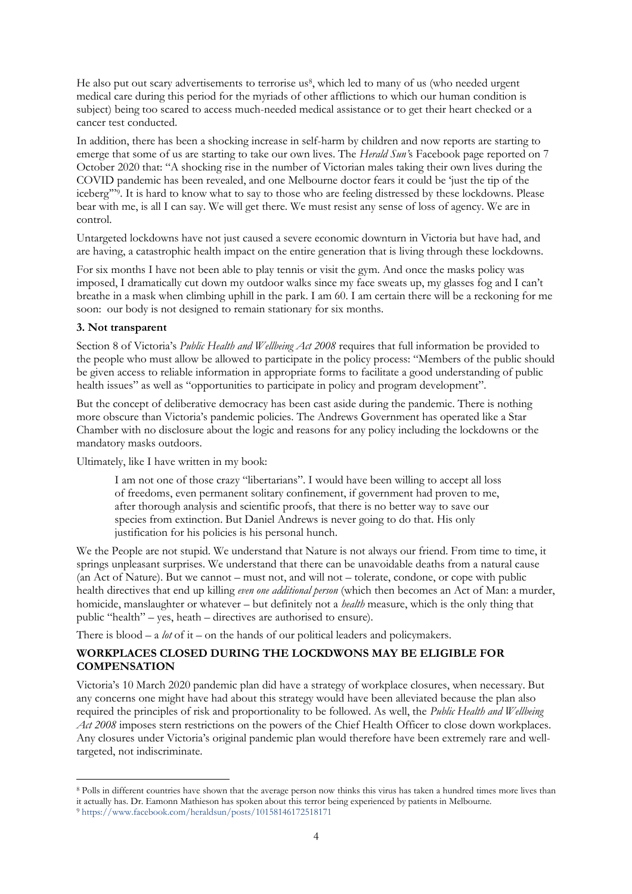He also put out scary advertisements to terrorise us<sup>8</sup>, which led to many of us (who needed urgent medical care during this period for the myriads of other afflictions to which our human condition is subject) being too scared to access much-needed medical assistance or to get their heart checked or a cancer test conducted.

In addition, there has been a shocking increase in self-harm by children and now reports are starting to emerge that some of us are starting to take our own lives. The *Herald Sun'*s Facebook page reported on 7 October 2020 that: "A shocking rise in the number of Victorian males taking their own lives during the COVID pandemic has been revealed, and one Melbourne doctor fears it could be 'just the tip of the iceberg'"<sup>9</sup> . It is hard to know what to say to those who are feeling distressed by these lockdowns. Please bear with me, is all I can say. We will get there. We must resist any sense of loss of agency. We are in control.

Untargeted lockdowns have not just caused a severe economic downturn in Victoria but have had, and are having, a catastrophic health impact on the entire generation that is living through these lockdowns.

For six months I have not been able to play tennis or visit the gym. And once the masks policy was imposed, I dramatically cut down my outdoor walks since my face sweats up, my glasses fog and I can't breathe in a mask when climbing uphill in the park. I am 60. I am certain there will be a reckoning for me soon: our body is not designed to remain stationary for six months.

#### **3. Not transparent**

Section 8 of Victoria's *Public Health and Wellbeing Act 2008* requires that full information be provided to the people who must allow be allowed to participate in the policy process: "Members of the public should be given access to reliable information in appropriate forms to facilitate a good understanding of public health issues" as well as "opportunities to participate in policy and program development".

But the concept of deliberative democracy has been cast aside during the pandemic. There is nothing more obscure than Victoria's pandemic policies. The Andrews Government has operated like a Star Chamber with no disclosure about the logic and reasons for any policy including the lockdowns or the mandatory masks outdoors.

Ultimately, like I have written in my book:

I am not one of those crazy "libertarians". I would have been willing to accept all loss of freedoms, even permanent solitary confinement, if government had proven to me, after thorough analysis and scientific proofs, that there is no better way to save our species from extinction. But Daniel Andrews is never going to do that. His only justification for his policies is his personal hunch.

We the People are not stupid. We understand that Nature is not always our friend. From time to time, it springs unpleasant surprises. We understand that there can be unavoidable deaths from a natural cause (an Act of Nature). But we cannot – must not, and will not – tolerate, condone, or cope with public health directives that end up killing *even one additional person* (which then becomes an Act of Man: a murder, homicide, manslaughter or whatever – but definitely not a *health* measure, which is the only thing that public "health" – yes, heath – directives are authorised to ensure).

There is blood – a *lot* of it – on the hands of our political leaders and policymakers.

# **WORKPLACES CLOSED DURING THE LOCKDWONS MAY BE ELIGIBLE FOR COMPENSATION**

Victoria's 10 March 2020 pandemic plan did have a strategy of workplace closures, when necessary. But any concerns one might have had about this strategy would have been alleviated because the plan also required the principles of risk and proportionality to be followed. As well, the *Public Health and Wellbeing* Act 2008 imposes stern restrictions on the powers of the Chief Health Officer to close down workplaces. Any closures under Victoria's original pandemic plan would therefore have been extremely rare and welltargeted, not indiscriminate.

<sup>8</sup> Polls in different countries have shown that the average person now thinks this virus has taken a hundred times more lives than it actually has. Dr. Eamonn Mathieson has spoken about this terror being experienced by patients in Melbourne.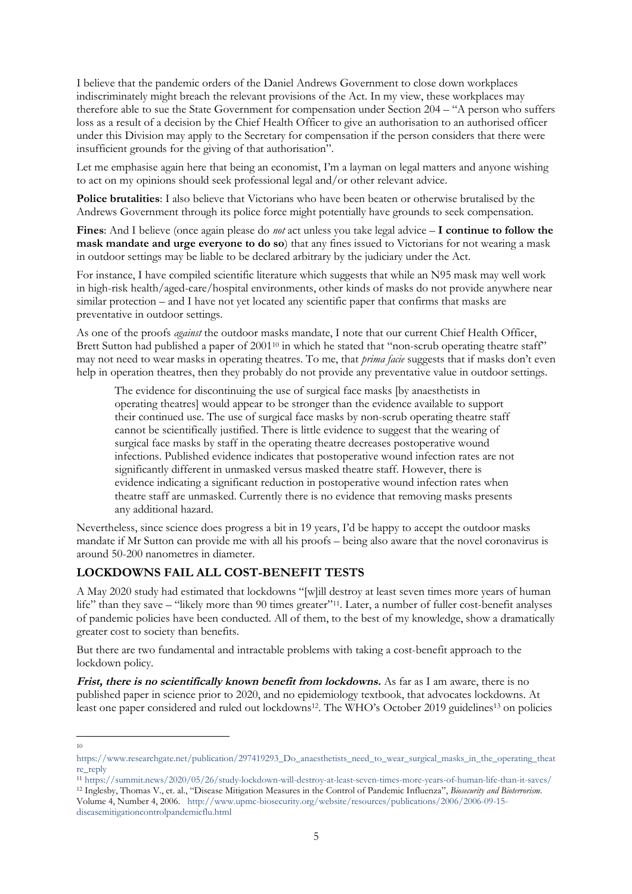I believe that the pandemic orders of the Daniel Andrews Government to close down workplaces indiscriminately might breach the relevant provisions of the Act. In my view, these workplaces may therefore able to sue the State Government for compensation under Section 204 – "A person who suffers loss as a result of a decision by the Chief Health Officer to give an authorisation to an authorised officer under this Division may apply to the Secretary for compensation if the person considers that there were insufficient grounds for the giving of that authorisation".

Let me emphasise again here that being an economist, I'm a layman on legal matters and anyone wishing to act on my opinions should seek professional legal and/or other relevant advice.

**Police brutalities**: I also believe that Victorians who have been beaten or otherwise brutalised by the Andrews Government through its police force might potentially have grounds to seek compensation.

**Fines**: And I believe (once again please do *not* act unless you take legal advice – **I continue to follow the mask mandate and urge everyone to do so**) that any fines issued to Victorians for not wearing a mask in outdoor settings may be liable to be declared arbitrary by the judiciary under the Act.

For instance, I have compiled scientific literature which suggests that while an N95 mask may well work in high-risk health/aged-care/hospital environments, other kinds of masks do not provide anywhere near similar protection – and I have not yet located any scientific paper that confirms that masks are preventative in outdoor settings.

As one of the proofs *against* the outdoor masks mandate, I note that our current Chief Health Officer, Brett Sutton had published a paper of 2001<sup>10</sup> in which he stated that "non-scrub operating theatre staff" may not need to wear masks in operating theatres. To me, that *prima facie* suggests that if masks don't even help in operation theatres, then they probably do not provide any preventative value in outdoor settings.

The evidence for discontinuing the use of surgical face masks [by anaesthetists in operating theatres] would appear to be stronger than the evidence available to support their continued use. The use of surgical face masks by non-scrub operating theatre staff cannot be scientifically justified. There is little evidence to suggest that the wearing of surgical face masks by staff in the operating theatre decreases postoperative wound infections. Published evidence indicates that postoperative wound infection rates are not significantly different in unmasked versus masked theatre staff. However, there is evidence indicating a significant reduction in postoperative wound infection rates when theatre staff are unmasked. Currently there is no evidence that removing masks presents any additional hazard.

Nevertheless, since science does progress a bit in 19 years, I'd be happy to accept the outdoor masks mandate if Mr Sutton can provide me with all his proofs – being also aware that the novel coronavirus is around 50-200 nanometres in diameter.

# **LOCKDOWNS FAIL ALL COST-BENEFIT TESTS**

A May 2020 study had estimated that lockdowns "[w]ill destroy at least seven times more years of human life" than they save – "likely more than 90 times greater"11. Later, a number of fuller cost-benefit analyses of pandemic policies have been conducted. All of them, to the best of my knowledge, show a dramatically greater cost to society than benefits.

But there are two fundamental and intractable problems with taking a cost-benefit approach to the lockdown policy.

**Frist, there is no scientifically known benefit from lockdowns.** As far as I am aware, there is no published paper in science prior to 2020, and no epidemiology textbook, that advocates lockdowns. At least one paper considered and ruled out lockdowns<sup>12</sup>. The WHO's October 2019 guidelines<sup>13</sup> on policies

<sup>10</sup>

https://www.researchgate.net/publication/297419293\_Do\_anaesthetists\_need\_to\_wear\_surgical\_masks\_in\_the\_operating\_theat re\_reply

<sup>11</sup> https://summit.news/2020/05/26/study-lockdown-will-destroy-at-least-seven-times-more-years-of-human-life-than-it-saves/ <sup>12</sup> Inglesby, Thomas V., et. al., "Disease Mitigation Measures in the Control of Pandemic Influenza", *Biosecurity and Bioterrorism*. Volume 4, Number 4, 2006. http://www.upmc-biosecurity.org/website/resources/publications/2006/2006-09-15 diseasemitigationcontrolpandemicflu.html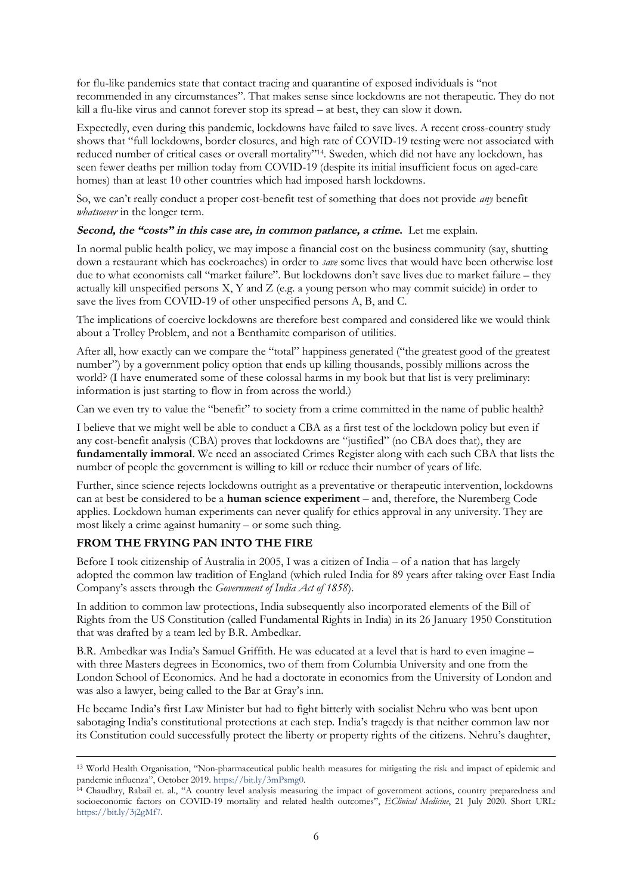for flu-like pandemics state that contact tracing and quarantine of exposed individuals is "not recommended in any circumstances". That makes sense since lockdowns are not therapeutic. They do not kill a flu-like virus and cannot forever stop its spread – at best, they can slow it down.

Expectedly, even during this pandemic, lockdowns have failed to save lives. A recent cross-country study shows that "full lockdowns, border closures, and high rate of COVID-19 testing were not associated with reduced number of critical cases or overall mortality"<sup>14</sup>. Sweden, which did not have any lockdown, has seen fewer deaths per million today from COVID-19 (despite its initial insufficient focus on aged-care homes) than at least 10 other countries which had imposed harsh lockdowns.

So, we can't really conduct a proper cost-benefit test of something that does not provide *any* benefit *whatsoever* in the longer term.

#### Second, the "costs" in this case are, in common parlance, a crime. Let me explain.

In normal public health policy, we may impose a financial cost on the business community (say, shutting down a restaurant which has cockroaches) in order to *save* some lives that would have been otherwise lost due to what economists call "market failure". But lockdowns don't save lives due to market failure – they actually kill unspecified persons  $X, Y$  and  $Z$  (e.g. a young person who may commit suicide) in order to save the lives from COVID-19 of other unspecified persons A, B, and C.

The implications of coercive lockdowns are therefore best compared and considered like we would think about a Trolley Problem, and not a Benthamite comparison of utilities.

After all, how exactly can we compare the "total" happiness generated ("the greatest good of the greatest number") by a government policy option that ends up killing thousands, possibly millions across the world? (I have enumerated some of these colossal harms in my book but that list is very preliminary: information is just starting to flow in from across the world.)

Can we even try to value the "benefit" to society from a crime committed in the name of public health?

I believe that we might well be able to conduct a CBA as a first test of the lockdown policy but even if any cost-benefit analysis (CBA) proves that lockdowns are "justified" (no CBA does that), they are **fundamentally immoral**. We need an associated Crimes Register along with each such CBA that lists the number of people the government is willing to kill or reduce their number of years of life.

Further, since science rejects lockdowns outright as a preventative or therapeutic intervention, lockdowns can at best be considered to be a **human science experiment** – and, therefore, the Nuremberg Code applies. Lockdown human experiments can never qualify for ethics approval in any university. They are most likely a crime against humanity – or some such thing.

#### **FROM THE FRYING PAN INTO THE FIRE**

Before I took citizenship of Australia in 2005, I was a citizen of India – of a nation that has largely adopted the common law tradition of England (which ruled India for 89 years after taking over East India Company's assets through the *Government of India Act of 1858*).

In addition to common law protections, India subsequently also incorporated elements of the Bill of Rights from the US Constitution (called Fundamental Rights in India) in its 26 January 1950 Constitution that was drafted by a team led by B.R. Ambedkar.

B.R. Ambedkar was India's Samuel Griffith. He was educated at a level that is hard to even imagine – with three Masters degrees in Economics, two of them from Columbia University and one from the London School of Economics. And he had a doctorate in economics from the University of London and was also a lawyer, being called to the Bar at Gray's inn.

He became India's first Law Minister but had to fight bitterly with socialist Nehru who was bent upon sabotaging India's constitutional protections at each step. India's tragedy is that neither common law nor its Constitution could successfully protect the liberty or property rights of the citizens. Nehru's daughter,

<sup>13</sup> World Health Organisation, "Non-pharmaceutical public health measures for mitigating the risk and impact of epidemic and pandemic influenza", October 2019. https://bit.ly/3mPsmg0.

<sup>14</sup> Chaudhry, Rabail et. al., "A country level analysis measuring the impact of government actions, country preparedness and socioeconomic factors on COVID-19 mortality and related health outcomes", *EClinical Medicine*, 21 July 2020. Short URL: https://bit.ly/3j2gMf7.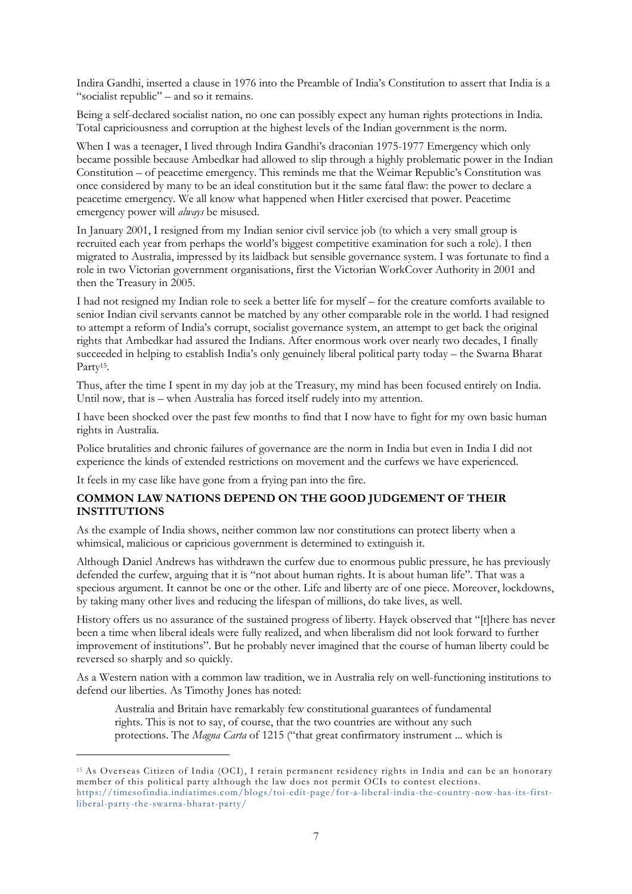Indira Gandhi, inserted a clause in 1976 into the Preamble of India's Constitution to assert that India is a "socialist republic" – and so it remains.

Being a self-declared socialist nation, no one can possibly expect any human rights protections in India. Total capriciousness and corruption at the highest levels of the Indian government is the norm.

When I was a teenager, I lived through Indira Gandhi's draconian 1975-1977 Emergency which only became possible because Ambedkar had allowed to slip through a highly problematic power in the Indian Constitution – of peacetime emergency. This reminds me that the Weimar Republic's Constitution was once considered by many to be an ideal constitution but it the same fatal flaw: the power to declare a peacetime emergency. We all know what happened when Hitler exercised that power. Peacetime emergency power will *always* be misused.

In January 2001, I resigned from my Indian senior civil service job (to which a very small group is recruited each year from perhaps the world's biggest competitive examination for such a role). I then migrated to Australia, impressed by its laidback but sensible governance system. I was fortunate to find a role in two Victorian government organisations, first the Victorian WorkCover Authority in 2001 and then the Treasury in 2005.

I had not resigned my Indian role to seek a better life for myself – for the creature comforts available to senior Indian civil servants cannot be matched by any other comparable role in the world. I had resigned to attempt a reform of India's corrupt, socialist governance system, an attempt to get back the original rights that Ambedkar had assured the Indians. After enormous work over nearly two decades, I finally succeeded in helping to establish India's only genuinely liberal political party today – the Swarna Bharat Party<sup>15</sup>.

Thus, after the time I spent in my day job at the Treasury, my mind has been focused entirely on India. Until now, that is – when Australia has forced itself rudely into my attention.

I have been shocked over the past few months to find that I now have to fight for my own basic human rights in Australia.

Police brutalities and chronic failures of governance are the norm in India but even in India I did not experience the kinds of extended restrictions on movement and the curfews we have experienced.

It feels in my case like have gone from a frying pan into the fire.

## **COMMON LAW NATIONS DEPEND ON THE GOOD JUDGEMENT OF THEIR INSTITUTIONS**

As the example of India shows, neither common law nor constitutions can protect liberty when a whimsical, malicious or capricious government is determined to extinguish it.

Although Daniel Andrews has withdrawn the curfew due to enormous public pressure, he has previously defended the curfew, arguing that it is "not about human rights. It is about human life". That was a specious argument. It cannot be one or the other. Life and liberty are of one piece. Moreover, lockdowns, by taking many other lives and reducing the lifespan of millions, do take lives, as well.

History offers us no assurance of the sustained progress of liberty. Hayek observed that "[t]here has never been a time when liberal ideals were fully realized, and when liberalism did not look forward to further improvement of institutions". But he probably never imagined that the course of human liberty could be reversed so sharply and so quickly.

As a Western nation with a common law tradition, we in Australia rely on well-functioning institutions to defend our liberties. As Timothy Jones has noted:

Australia and Britain have remarkably few constitutional guarantees of fundamental rights. This is not to say, of course, that the two countries are without any such protections. The *Magna Carta* of 1215 ("that great confirmatory instrument ... which is

<sup>15</sup> As Overseas Citizen of India (OCI), I retain permanent residency rights in India and can be an honorary member of this political party although the law does not permit OCIs to contest elections. https://timesofindia.indiatimes.com/blogs/toi-edit-page/for-a-liberal-india-the-country-now-has-its-firstliberal-party-the-swarna-bharat-party/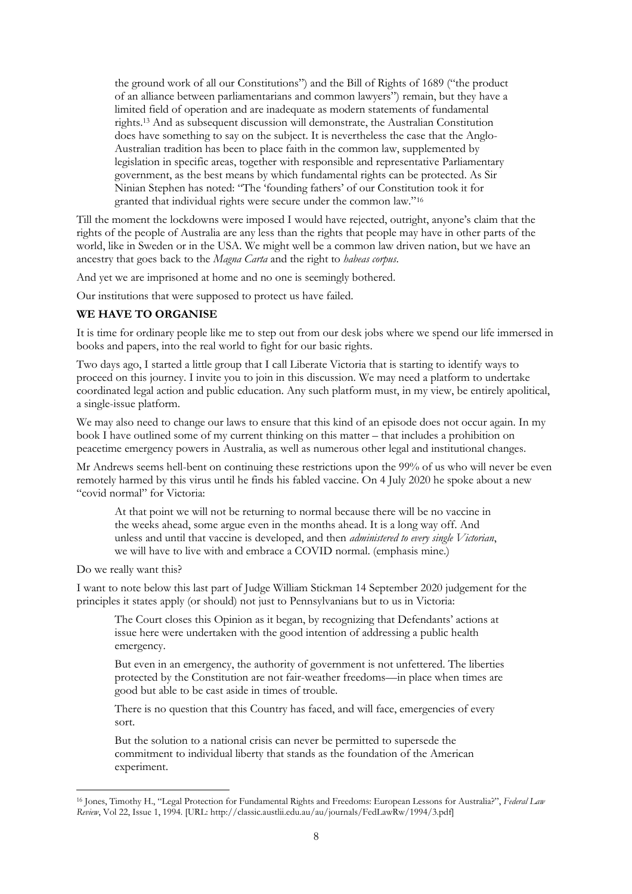the ground work of all our Constitutions") and the Bill of Rights of 1689 ("the product of an alliance between parliamentarians and common lawyers") remain, but they have a limited field of operation and are inadequate as modern statements of fundamental rights.<sup>13</sup> And as subsequent discussion will demonstrate, the Australian Constitution does have something to say on the subject. It is nevertheless the case that the Anglo-Australian tradition has been to place faith in the common law, supplemented by legislation in specific areas, together with responsible and representative Parliamentary government, as the best means by which fundamental rights can be protected. As Sir Ninian Stephen has noted: "The 'founding fathers' of our Constitution took it for granted that individual rights were secure under the common law."<sup>16</sup>

Till the moment the lockdowns were imposed I would have rejected, outright, anyone's claim that the rights of the people of Australia are any less than the rights that people may have in other parts of the world, like in Sweden or in the USA. We might well be a common law driven nation, but we have an ancestry that goes back to the *Magna Carta* and the right to *habeas corpus*.

And yet we are imprisoned at home and no one is seemingly bothered.

Our institutions that were supposed to protect us have failed.

#### **WE HAVE TO ORGANISE**

It is time for ordinary people like me to step out from our desk jobs where we spend our life immersed in books and papers, into the real world to fight for our basic rights.

Two days ago, I started a little group that I call Liberate Victoria that is starting to identify ways to proceed on this journey. I invite you to join in this discussion. We may need a platform to undertake coordinated legal action and public education. Any such platform must, in my view, be entirely apolitical, a single-issue platform.

We may also need to change our laws to ensure that this kind of an episode does not occur again. In my book I have outlined some of my current thinking on this matter – that includes a prohibition on peacetime emergency powers in Australia, as well as numerous other legal and institutional changes.

Mr Andrews seems hell-bent on continuing these restrictions upon the 99% of us who will never be even remotely harmed by this virus until he finds his fabled vaccine. On 4 July 2020 he spoke about a new "covid normal" for Victoria:

At that point we will not be returning to normal because there will be no vaccine in the weeks ahead, some argue even in the months ahead. It is a long way off. And unless and until that vaccine is developed, and then *administered to every single Victorian*, we will have to live with and embrace a COVID normal. (emphasis mine.)

#### Do we really want this?

I want to note below this last part of Judge William Stickman 14 September 2020 judgement for the principles it states apply (or should) not just to Pennsylvanians but to us in Victoria:

The Court closes this Opinion as it began, by recognizing that Defendants' actions at issue here were undertaken with the good intention of addressing a public health emergency.

But even in an emergency, the authority of government is not unfettered. The liberties protected by the Constitution are not fair-weather freedoms—in place when times are good but able to be cast aside in times of trouble.

There is no question that this Country has faced, and will face, emergencies of every sort.

But the solution to a national crisis can never be permitted to supersede the commitment to individual liberty that stands as the foundation of the American experiment.

<sup>16</sup> Jones, Timothy H., "Legal Protection for Fundamental Rights and Freedoms: European Lessons for Australia?", *Federal Law Review*, Vol 22, Issue 1, 1994. [URL: http://classic.austlii.edu.au/au/journals/FedLawRw/1994/3.pdf]